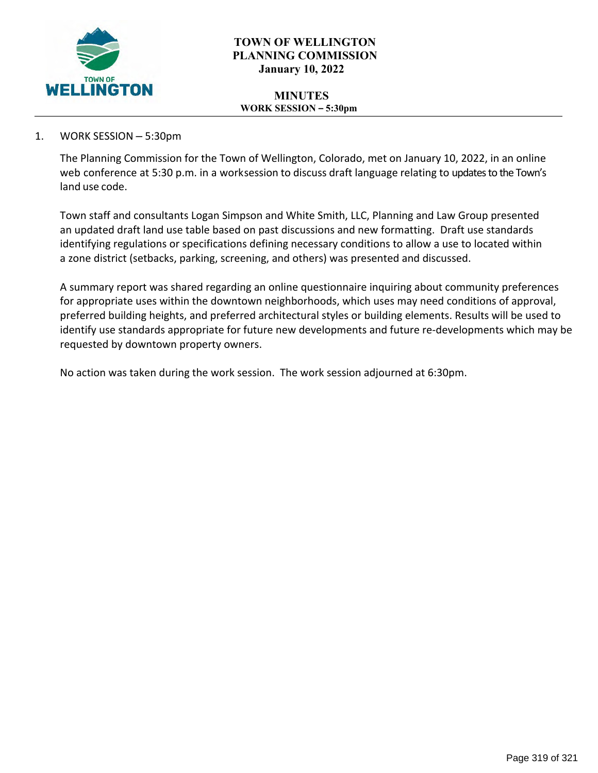

## **TOWN OF WELLINGTON PLANNING COMMISSION January 10, 2022**

#### **MINUTES WORK SESSION – 5:30pm**

## 1. WORK SESSION – 5:30pm

The Planning Commission for the Town of Wellington, Colorado, met on January 10, 2022, in an online web conference at 5:30 p.m. in a work session to discuss draft language relating to updates to the Town's land use code.

Town staff and consultants Logan Simpson and White Smith, LLC, Planning and Law Group presented an updated draft land use table based on past discussions and new formatting. Draft use standards identifying regulations or specifications defining necessary conditions to allow a use to located within a zone district (setbacks, parking, screening, and others) was presented and discussed.

A summary report was shared regarding an online questionnaire inquiring about community preferences for appropriate uses within the downtown neighborhoods, which uses may need conditions of approval, preferred building heights, and preferred architectural styles or building elements. Results will be used to identify use standards appropriate for future new developments and future re-developments which may be requested by downtown property owners.

No action was taken during the work session. The work session adjourned at 6:30pm.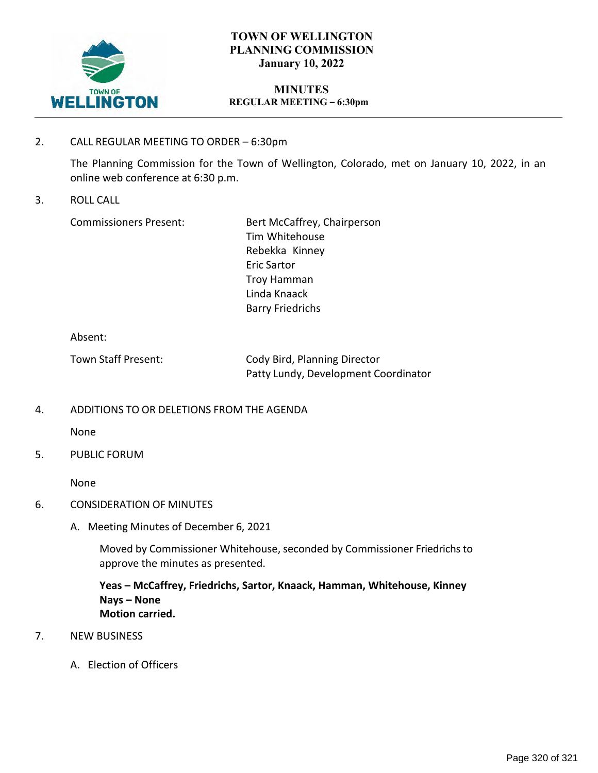

## **TOWN OF WELLINGTON PLANNING COMMISSION January 10, 2022**

#### **MINUTES REGULAR MEETING – 6:30pm**

2. CALL REGULAR MEETING TO ORDER – 6:30pm

The Planning Commission for the Town of Wellington, Colorado, met on January 10, 2022, in an online web conference at 6:30 p.m.

3. ROLL CALL

Commissioners Present: Bert McCaffrey, Chairperson Tim Whitehouse Rebekka Kinney Eric Sartor Troy Hamman Linda Knaack Barry Friedrichs

Absent:

| Town Staff Present: | Cody Bird, Planning Director         |
|---------------------|--------------------------------------|
|                     | Patty Lundy, Development Coordinator |

4. ADDITIONS TO OR DELETIONS FROM THE AGENDA

None

5. PUBLIC FORUM

None

- 6. CONSIDERATION OF MINUTES
	- A. Meeting Minutes of December 6, 2021

Moved by Commissioner Whitehouse, seconded by Commissioner Friedrichs to approve the minutes as presented.

**Yeas – McCaffrey, Friedrichs, Sartor, Knaack, Hamman, Whitehouse, Kinney Nays – None Motion carried.**

- 7. NEW BUSINESS
	- A. Election of Officers